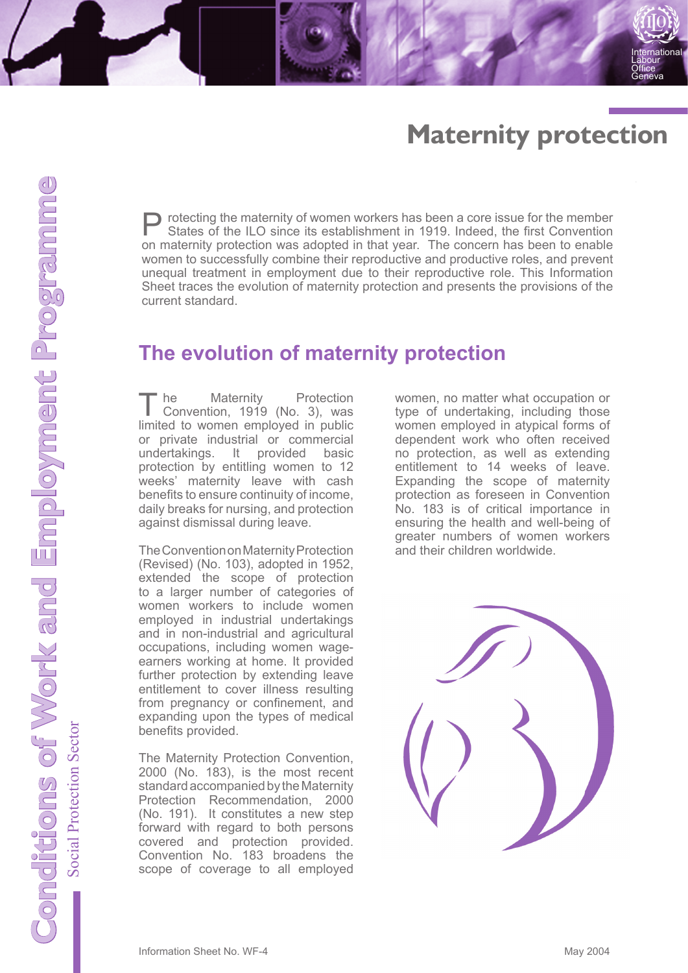# **Maternity protection**

**International** Labour Office Geneva

**Protecting the maternity of women workers has been a core issue for the member**<br>States of the ILO since its establishment in 1919. Indeed, the first Convention<br>on maternity protection was adopted in the wave. The express on maternity protection was adopted in that year. The concern has been to enable women to successfully combine their reproductive and productive roles, and prevent unequal treatment in employment due to their reproductive role. This Information Sheet traces the evolution of maternity protection and presents the provisions of the current standard.

### **The evolution of maternity protection**

The Maternity Protection<br>
Convention, 1919 (No. 3), was<br>
limited to ware a small used in public limited to women employed in public or private industrial or commercial undertakings. It provided basic protection by entitling women to 12 weeks' maternity leave with cash benefits to ensure continuity of income, daily breaks for nursing, and protection against dismissal during leave.

The Convention on Maternity Protection (Revised) (No. 103), adopted in 1952, extended the scope of protection to a larger number of categories of women workers to include women employed in industrial undertakings and in non-industrial and agricultural occupations, including women wageearners working at home. It provided further protection by extending leave entitlement to cover illness resulting from pregnancy or confinement, and expanding upon the types of medical benefits provided.

The Maternity Protection Convention, 2000 (No. 183), is the most recent standard accompanied by the Maternity Protection Recommendation, 2000 (No. 191). It constitutes a new step forward with regard to both persons covered and protection provided. Convention No. 183 broadens the scope of coverage to all employed

women, no matter what occupation or type of undertaking, including those women employed in atypical forms of dependent work who often received no protection, as well as extending entitlement to 14 weeks of leave. Expanding the scope of maternity protection as foreseen in Convention No. 183 is of critical importance in ensuring the health and well-being of greater numbers of women workers and their children worldwide.

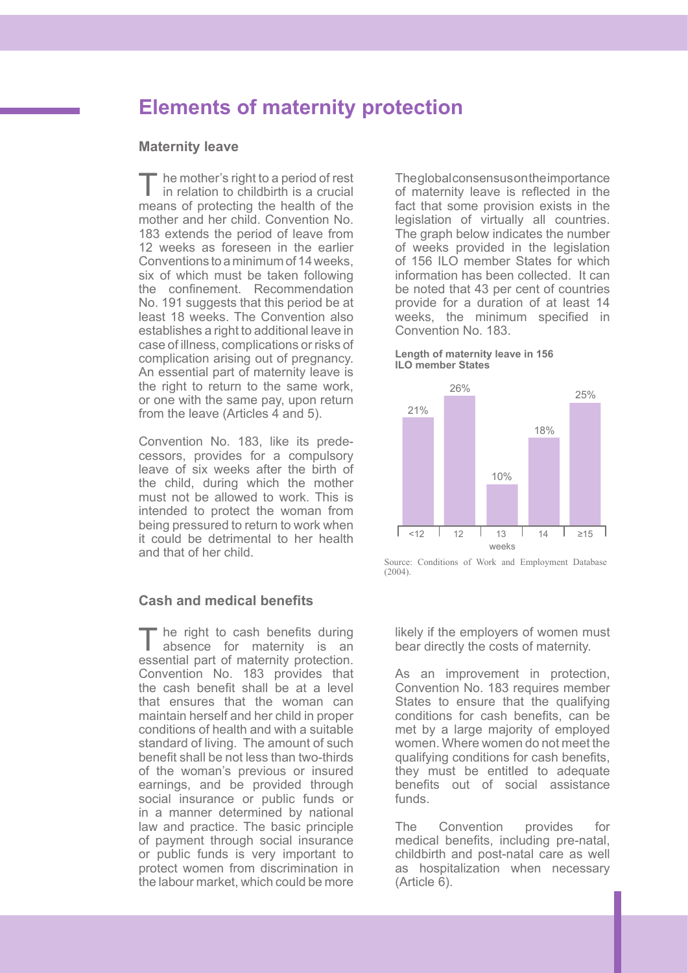## **Elements of maternity protection**

### **Maternity leave**

<sup>the</sup> ne mother's right to a period of rest in relation to childbirth is a crucial means of protecting the health of the mother and her child. Convention No. 183 extends the period of leave from 12 weeks as foreseen in the earlier Conventions to a minimum of 14 weeks, six of which must be taken following the confinement. Recommendation No. 191 suggests that this period be at least 18 weeks. The Convention also establishes a right to additional leave in case of illness, complications or risks of complication arising out of pregnancy. An essential part of maternity leave is the right to return to the same work, or one with the same pay, upon return from the leave (Articles 4 and 5).

Convention No. 183, like its predecessors, provides for a compulsory leave of six weeks after the birth of the child, during which the mother must not be allowed to work. This is intended to protect the woman from being pressured to return to work when it could be detrimental to her health and that of her child.

#### **Cash and medical benefits**

The right to cash benefits during<br>absence for maternity is an essential part of maternity protection. Convention No. 183 provides that the cash benefit shall be at a level that ensures that the woman can maintain herself and her child in proper conditions of health and with a suitable standard of living. The amount of such benefit shall be not less than two-thirds of the woman's previous or insured earnings, and be provided through social insurance or public funds or in a manner determined by national law and practice. The basic principle of payment through social insurance or public funds is very important to protect women from discrimination in the labour market, which could be more

The global consensus on the importance of maternity leave is reflected in the fact that some provision exists in the legislation of virtually all countries. The graph below indicates the number of weeks provided in the legislation of 156 ILO member States for which information has been collected. It can be noted that 43 per cent of countries provide for a duration of at least 14 weeks, the minimum specified in Convention No. 183.

#### **Length of maternity leave in 156 ILO member States**



Source: Conditions of Work and Employment Database  $(2004)$ .

likely if the employers of women must bear directly the costs of maternity.

As an improvement in protection, Convention No. 183 requires member States to ensure that the qualifying conditions for cash benefits, can be met by a large majority of employed women. Where women do not meet the qualifying conditions for cash benefits, they must be entitled to adequate benefits out of social assistance funds.

The Convention provides for medical benefits, including pre-natal, childbirth and post-natal care as well as hospitalization when necessary (Article 6).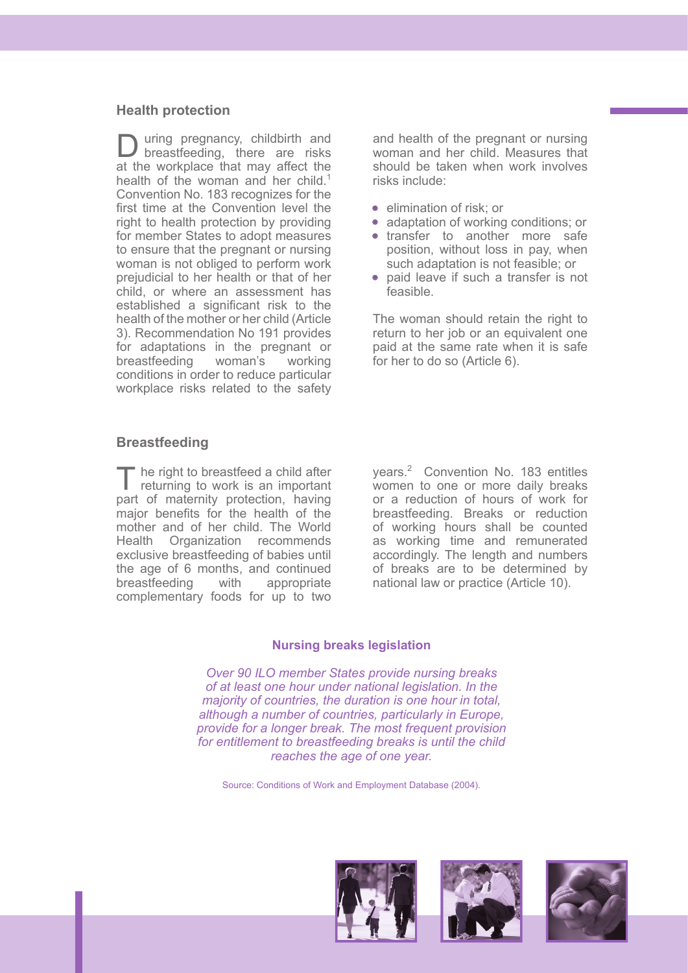#### **Health protection**

D uring pregnancy, childbirth and<br>
breastfeeding, there are risks at the workplace that may affect the health of the woman and her child.<sup>1</sup> Convention No. 183 recognizes for the first time at the Convention level the right to health protection by providing for member States to adopt measures to ensure that the pregnant or nursing woman is not obliged to perform work prejudicial to her health or that of her child, or where an assessment has established a significant risk to the health of the mother or her child (Article 3). Recommendation No 191 provides for adaptations in the pregnant or<br>breastfeeding woman's working breastfeeding woman's working conditions in order to reduce particular workplace risks related to the safety

and health of the pregnant or nursing woman and her child. Measures that should be taken when work involves risks include:

- elimination of risk; or
- adaptation of working conditions; or
- transfer to another more safe position, without loss in pay, when such adaptation is not feasible; or
- paid leave if such a transfer is not feasible.

The woman should retain the right to return to her job or an equivalent one paid at the same rate when it is safe for her to do so (Article 6).

#### **Breastfeeding**

he right to breastfeed a child after returning to work is an important part of maternity protection, having major benefits for the health of the mother and of her child. The World Health Organization recommends exclusive breastfeeding of babies until the age of 6 months, and continued breastfeeding with appropriate complementary foods for up to two

years.2 Convention No. 183 entitles women to one or more daily breaks or a reduction of hours of work for breastfeeding. Breaks or reduction of working hours shall be counted as working time and remunerated accordingly. The length and numbers of breaks are to be determined by national law or practice (Article 10).

#### **Nursing breaks legislation**

*Over 90 ILO member States provide nursing breaks of at least one hour under national legislation. In the majority of countries, the duration is one hour in total, although a number of countries, particularly in Europe, provide for a longer break. The most frequent provision for entitlement to breastfeeding breaks is until the child reaches the age of one year.* 

Source: Conditions of Work and Employment Database (2004).